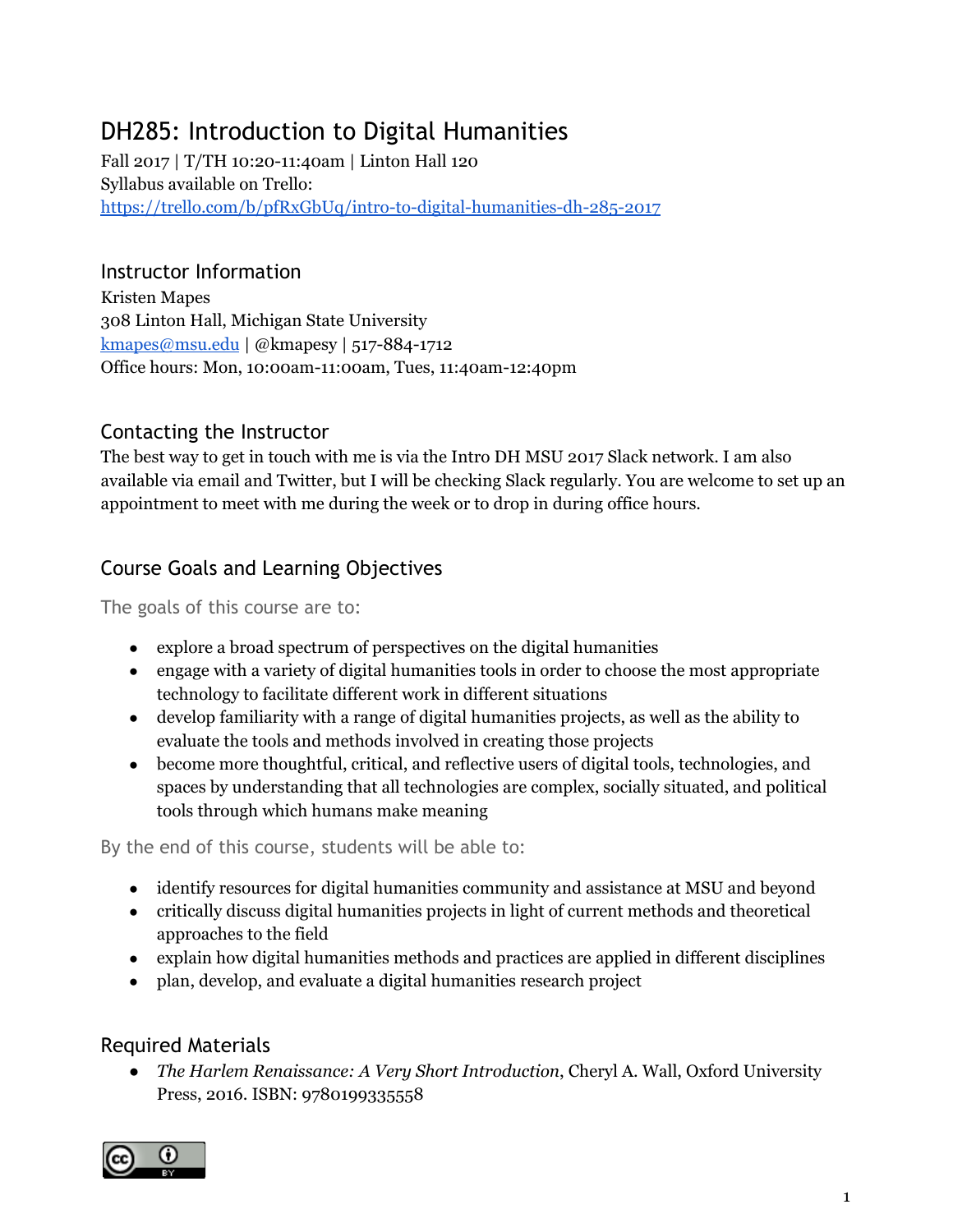# DH285: Introduction to Digital Humanities

Fall 2017 | T/TH 10:20-11:40am | Linton Hall 120 Syllabus available on Trello: <https://trello.com/b/pfRxGbUq/intro-to-digital-humanities-dh-285-2017>

# Instructor Information

Kristen Mapes 308 Linton Hall, Michigan State University [kmapes@msu.edu](mailto:kmapes@msu.edu) | @kmapesy | 517-884-1712 Office hours: Mon, 10:00am-11:00am, Tues, 11:40am-12:40pm

# Contacting the Instructor

The best way to get in touch with me is via the Intro DH MSU 2017 Slack network. I am also available via email and Twitter, but I will be checking Slack regularly. You are welcome to set up an appointment to meet with me during the week or to drop in during office hours.

# Course Goals and Learning Objectives

The goals of this course are to:

- explore a broad spectrum of perspectives on the digital humanities
- engage with a variety of digital humanities tools in order to choose the most appropriate technology to facilitate different work in different situations
- develop familiarity with a range of digital humanities projects, as well as the ability to evaluate the tools and methods involved in creating those projects
- become more thoughtful, critical, and reflective users of digital tools, technologies, and spaces by understanding that all technologies are complex, socially situated, and political tools through which humans make meaning

By the end of this course, students will be able to:

- identify resources for digital humanities community and assistance at MSU and beyond
- critically discuss digital humanities projects in light of current methods and theoretical approaches to the field
- explain how digital humanities methods and practices are applied in different disciplines
- plan, develop, and evaluate a digital humanities research project

# Required Materials

*● The Harlem Renaissance: A Very Short Introduction*, Cheryl A. Wall, Oxford University Press, 2016. ISBN: 9780199335558

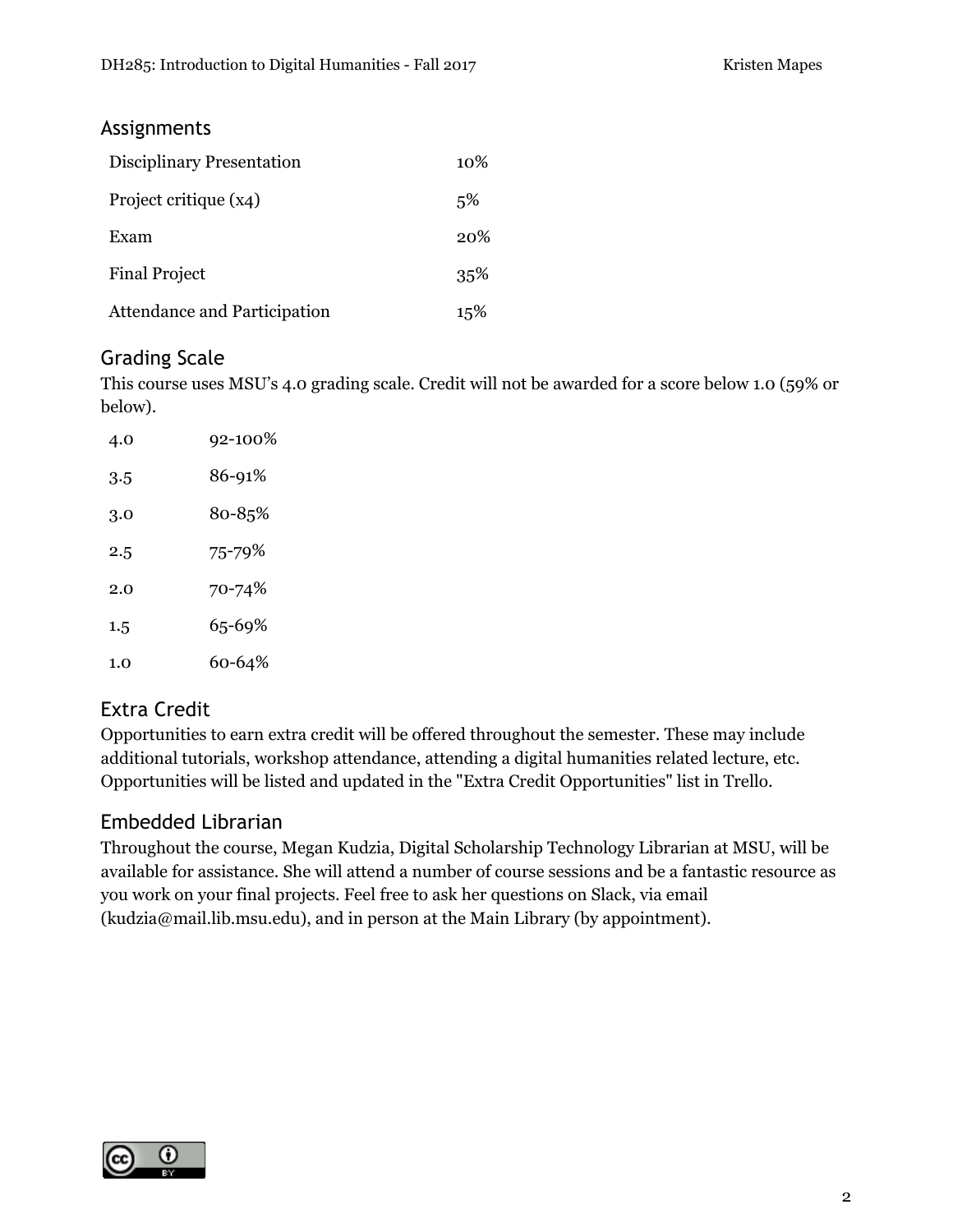### Assignments

| Disciplinary Presentation           | $10\%$ |
|-------------------------------------|--------|
| Project critique (x4)               | 5%     |
| Exam                                | 20%    |
| <b>Final Project</b>                | 35%    |
| <b>Attendance and Participation</b> | 15%    |

# Grading Scale

This course uses MSU's 4.0 grading scale. Credit will not be awarded for a score below 1.0 (59% or below).

| 4.0 | 92-100% |
|-----|---------|
| 3.5 | 86-91%  |
| 3.0 | 80-85%  |
| 2.5 | 75-79%  |
| 2.0 | 70-74%  |
| 1.5 | 65-69%  |
| 1.0 | 60-64%  |

# Extra Credit

Opportunities to earn extra credit will be offered throughout the semester. These may include additional tutorials, workshop attendance, attending a digital humanities related lecture, etc. Opportunities will be listed and updated in the "Extra Credit Opportunities" list in Trello.

### Embedded Librarian

Throughout the course, Megan Kudzia, Digital Scholarship Technology Librarian at MSU, will be available for assistance. She will attend a number of course sessions and be a fantastic resource as you work on your final projects. Feel free to ask her questions on Slack, via email (kudzia@mail.lib.msu.edu), and in person at the Main Library (by appointment).

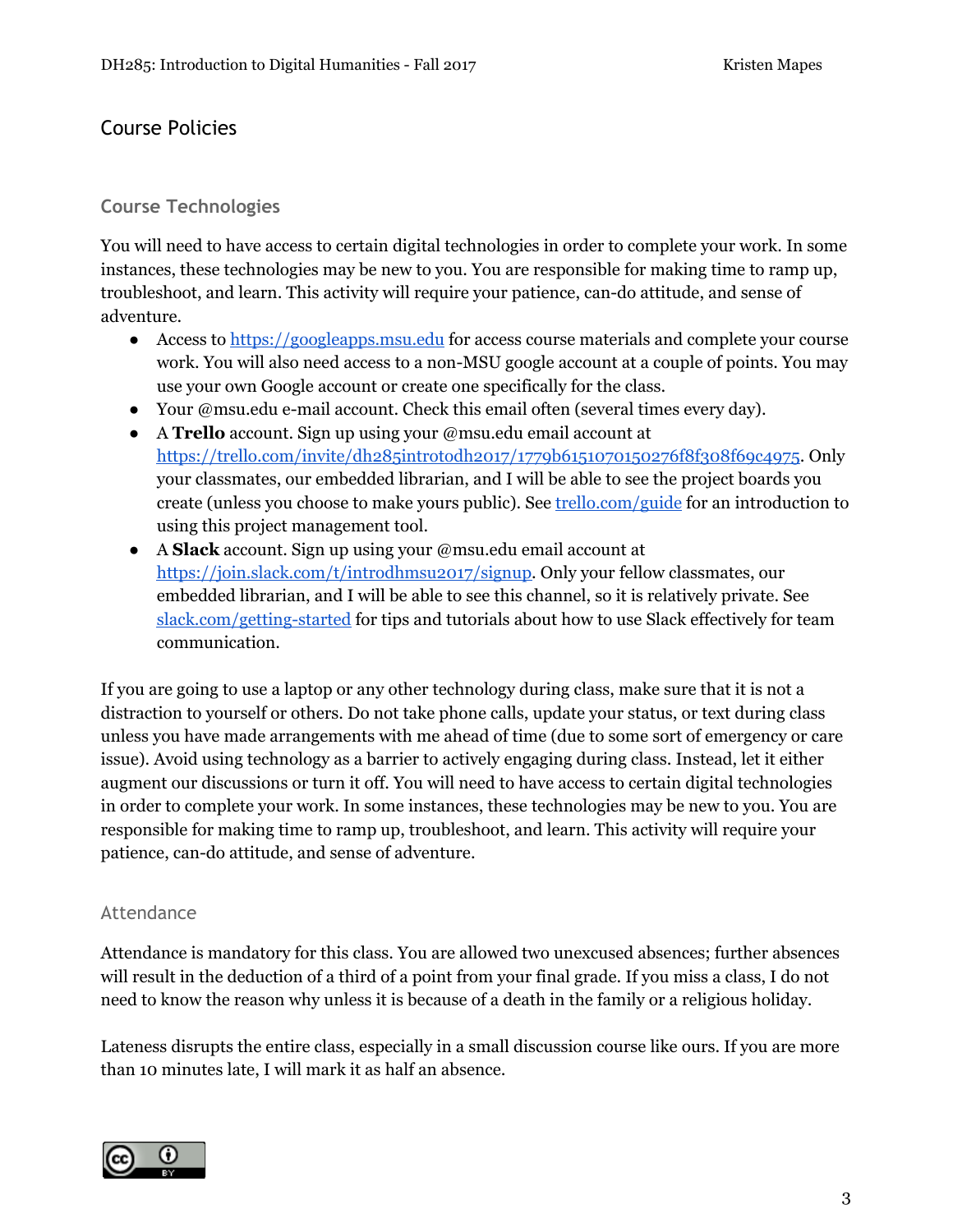# Course Policies

### **Course Technologies**

You will need to have access to certain digital technologies in order to complete your work. In some instances, these technologies may be new to you. You are responsible for making time to ramp up, troubleshoot, and learn. This activity will require your patience, can-do attitude, and sense of adventure.

- Access to [https://googleapps.msu.edu](https://googleapps.msu.edu/) for access course materials and complete your course work. You will also need access to a non-MSU google account at a couple of points. You may use your own Google account or create one specifically for the class.
- Your @msu.edu e-mail account. Check this email often (several times every day).
- A **Trello** account. Sign up using your @msu.edu email account at <https://trello.com/invite/dh285introtodh2017/1779b6151070150276f8f308f69c4975>. Only your classmates, our embedded librarian, and I will be able to see the project boards you create (unless you choose to make yours public). See [trello.com/guide](https://trello.com/guide) for an introduction to using this project management tool.
- A **Slack** account. Sign up using your @msu.edu email account at [https://join.slack.com/t/introdhmsu2017/signup.](https://join.slack.com/t/introdhmsu2017/signup) Only your fellow classmates, our embedded librarian, and I will be able to see this channel, so it is relatively private. See [slack.com/getting-started](http://slack.com/getting-started) for tips and tutorials about how to use Slack effectively for team communication.

If you are going to use a laptop or any other technology during class, make sure that it is not a distraction to yourself or others. Do not take phone calls, update your status, or text during class unless you have made arrangements with me ahead of time (due to some sort of emergency or care issue). Avoid using technology as a barrier to actively engaging during class. Instead, let it either augment our discussions or turn it off. You will need to have access to certain digital technologies in order to complete your work. In some instances, these technologies may be new to you. You are responsible for making time to ramp up, troubleshoot, and learn. This activity will require your patience, can-do attitude, and sense of adventure.

#### Attendance

Attendance is mandatory for this class. You are allowed two unexcused absences; further absences will result in the deduction of a third of a point from your final grade. If you miss a class, I do not need to know the reason why unless it is because of a death in the family or a religious holiday.

Lateness disrupts the entire class, especially in a small discussion course like ours. If you are more than 10 minutes late, I will mark it as half an absence.

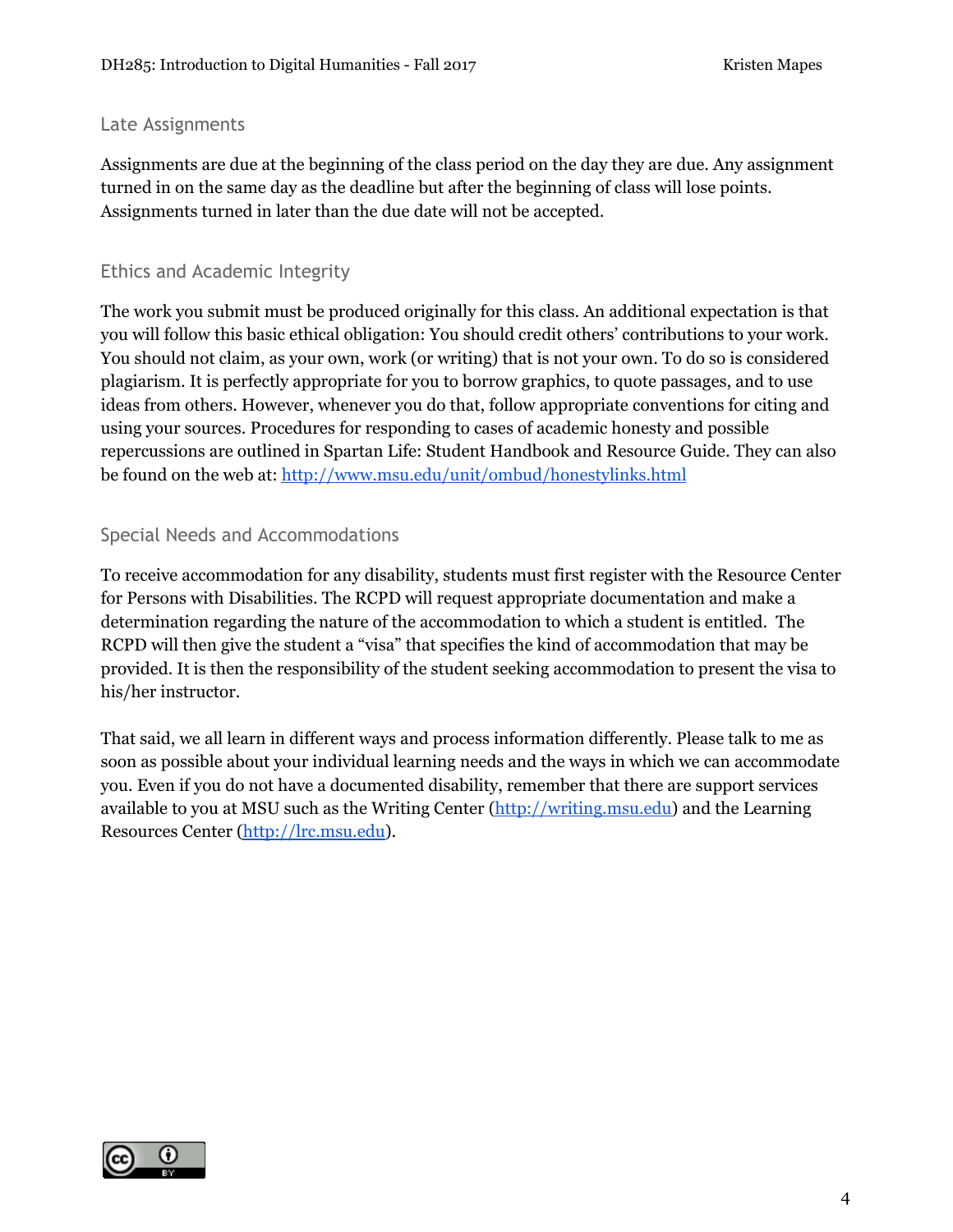#### Late Assignments

Assignments are due at the beginning of the class period on the day they are due. Any assignment turned in on the same day as the deadline but after the beginning of class will lose points. Assignments turned in later than the due date will not be accepted.

#### Ethics and Academic Integrity

The work you submit must be produced originally for this class. An additional expectation is that you will follow this basic ethical obligation: You should credit others' contributions to your work. You should not claim, as your own, work (or writing) that is not your own. To do so is considered plagiarism. It is perfectly appropriate for you to borrow graphics, to quote passages, and to use ideas from others. However, whenever you do that, follow appropriate conventions for citing and using your sources. Procedures for responding to cases of academic honesty and possible repercussions are outlined in Spartan Life: Student Handbook and Resource Guide. They can also be found on the web at[:](http://www.msu.edu/unit/ombud/honestylinks.html) <http://www.msu.edu/unit/ombud/honestylinks.html>

#### Special Needs and Accommodations

To receive accommodation for any disability, students must first register with the Resource Center for Persons with Disabilities. The RCPD will request appropriate documentation and make a determination regarding the nature of the accommodation to which a student is entitled. The RCPD will then give the student a "visa" that specifies the kind of accommodation that may be provided. It is then the responsibility of the student seeking accommodation to present the visa to his/her instructor.

That said, we all learn in different ways and process information differently. Please talk to me as soon as possible about your individual learning needs and the ways in which we can accommodate you. Even if you do not have a documented disability, remember that there are support services available to you at MSU such as the Writing Center [\(http://writing.msu.edu\)](http://writing.msu.edu/) and the Learning Resources Center [\(http://lrc.msu.edu\)](http://lrc.msu.edu/).

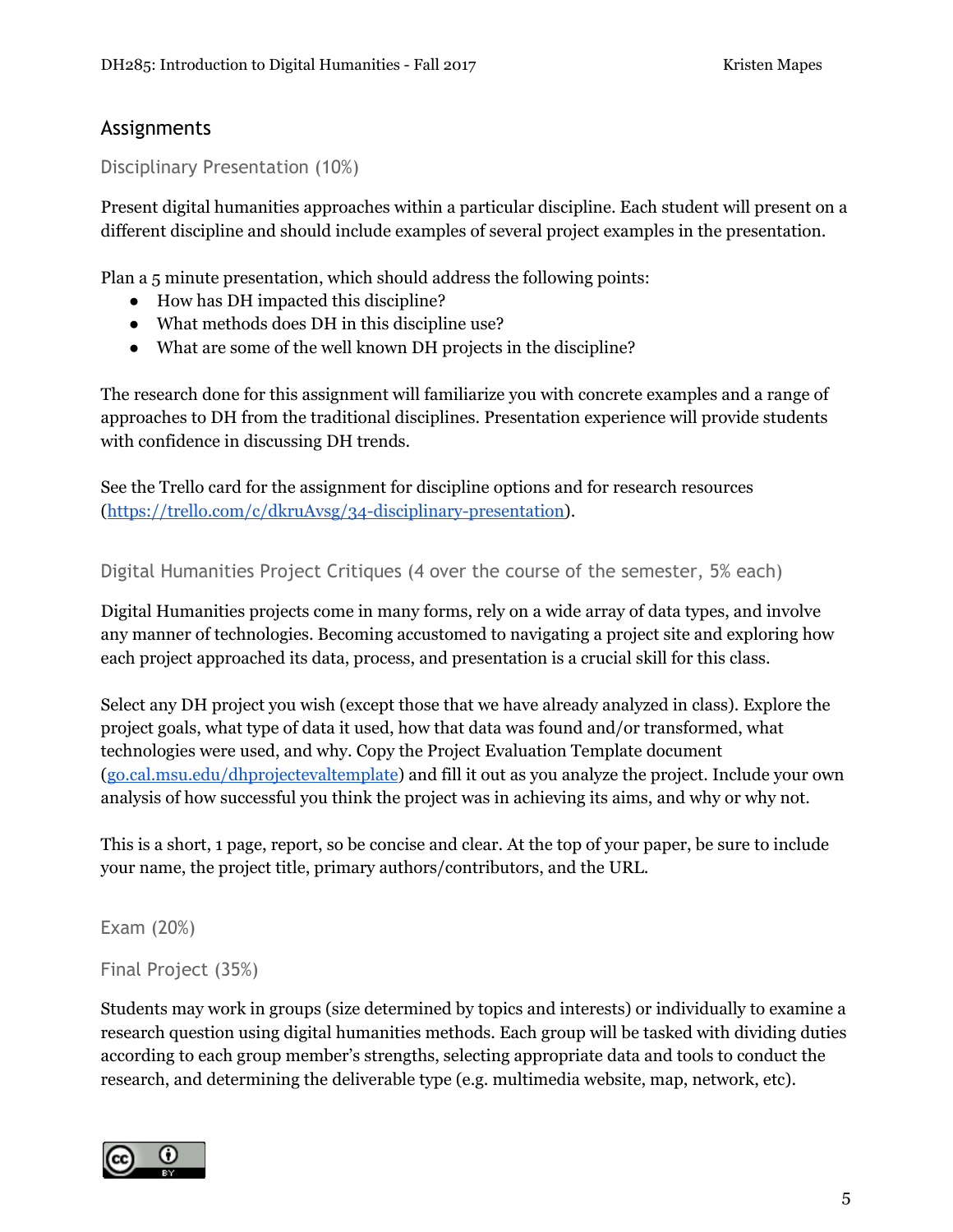### Assignments

Disciplinary Presentation (10%)

Present digital humanities approaches within a particular discipline. Each student will present on a different discipline and should include examples of several project examples in the presentation.

Plan a 5 minute presentation, which should address the following points:

- How has DH impacted this discipline?
- What methods does DH in this discipline use?
- What are some of the well known DH projects in the discipline?

The research done for this assignment will familiarize you with concrete examples and a range of approaches to DH from the traditional disciplines. Presentation experience will provide students with confidence in discussing DH trends.

See the Trello card for the assignment for discipline options and for research resources ([https://trello.com/c/dkruAvsg/34-disciplinary-presentation\)](https://trello.com/c/dkruAvsg/34-disciplinary-presentation).

Digital Humanities Project Critiques (4 over the course of the semester, 5% each)

Digital Humanities projects come in many forms, rely on a wide array of data types, and involve any manner of technologies. Becoming accustomed to navigating a project site and exploring how each project approached its data, process, and presentation is a crucial skill for this class.

Select any DH project you wish (except those that we have already analyzed in class). Explore the project goals, what type of data it used, how that data was found and/or transformed, what technologies were used, and why. Copy the Project Evaluation Template document ([go.cal.msu.edu/dhprojectevaltemplate\)](http://go.cal.msu.edu/dhprojectevaltemplate) and fill it out as you analyze the project. Include your own analysis of how successful you think the project was in achieving its aims, and why or why not.

This is a short, 1 page, report, so be concise and clear. At the top of your paper, be sure to include your name, the project title, primary authors/contributors, and the URL.

Exam (20%)

Final Project (35%)

Students may work in groups (size determined by topics and interests) or individually to examine a research question using digital humanities methods. Each group will be tasked with dividing duties according to each group member's strengths, selecting appropriate data and tools to conduct the research, and determining the deliverable type (e.g. multimedia website, map, network, etc).

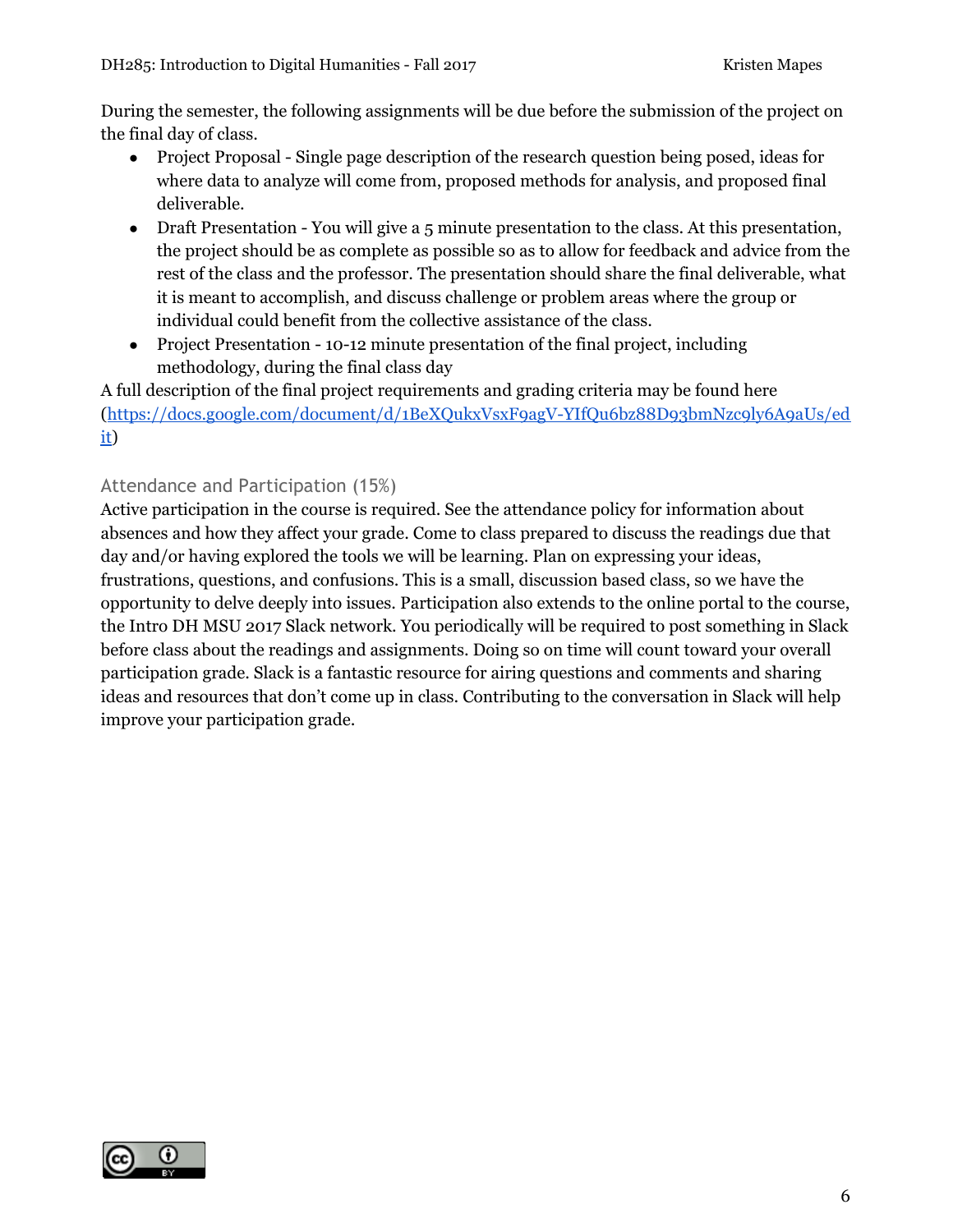During the semester, the following assignments will be due before the submission of the project on the final day of class.

- Project Proposal Single page description of the research question being posed, ideas for where data to analyze will come from, proposed methods for analysis, and proposed final deliverable.
- Draft Presentation You will give a 5 minute presentation to the class. At this presentation, the project should be as complete as possible so as to allow for feedback and advice from the rest of the class and the professor. The presentation should share the final deliverable, what it is meant to accomplish, and discuss challenge or problem areas where the group or individual could benefit from the collective assistance of the class.
- Project Presentation 10-12 minute presentation of the final project, including methodology, during the final class day

A full description of the final project requirements and grading criteria may be found here ([https://docs.google.com/document/d/1BeXQukxVsxF9agV-YIfQu6bz88D93bmNzc9ly6A9aUs/ed](https://docs.google.com/document/d/1BeXQukxVsxF9agV-YIfQu6bz88D93bmNzc9ly6A9aUs/edit) [it\)](https://docs.google.com/document/d/1BeXQukxVsxF9agV-YIfQu6bz88D93bmNzc9ly6A9aUs/edit)

### Attendance and Participation (15%)

Active participation in the course is required. See the attendance policy for information about absences and how they affect your grade. Come to class prepared to discuss the readings due that day and/or having explored the tools we will be learning. Plan on expressing your ideas, frustrations, questions, and confusions. This is a small, discussion based class, so we have the opportunity to delve deeply into issues. Participation also extends to the online portal to the course, the Intro DH MSU 2017 Slack network. You periodically will be required to post something in Slack before class about the readings and assignments. Doing so on time will count toward your overall participation grade. Slack is a fantastic resource for airing questions and comments and sharing ideas and resources that don't come up in class. Contributing to the conversation in Slack will help improve your participation grade.

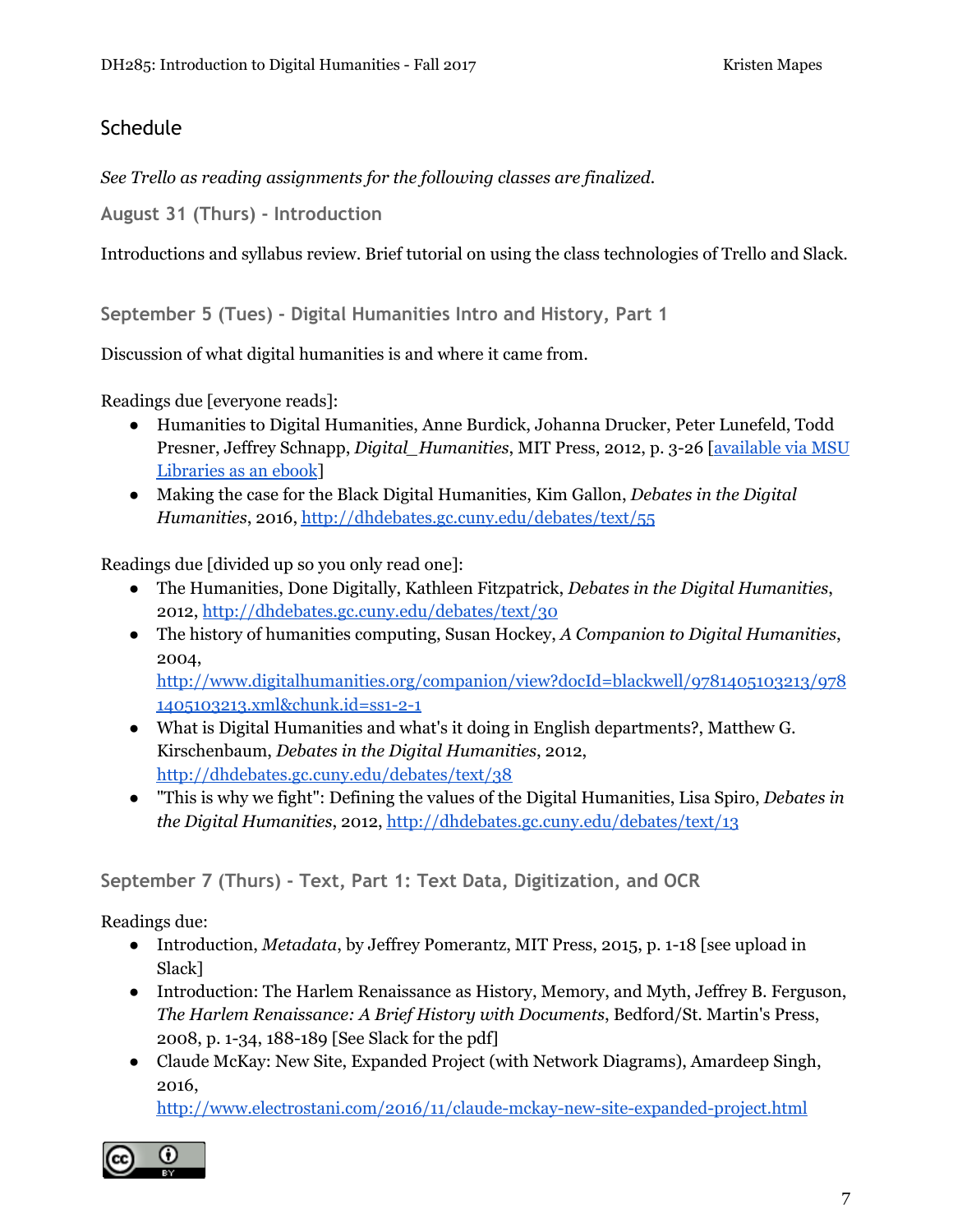# **Schedule**

*See Trello as reading assignments for the following classes are finalized.*

**August 31 (Thurs) - Introduction**

Introductions and syllabus review. Brief tutorial on using the class technologies of Trello and Slack.

**September 5 (Tues) - Digital Humanities Intro and History, Part 1**

Discussion of what digital humanities is and where it came from.

Readings due [everyone reads]:

- Humanities to Digital Humanities, Anne Burdick, Johanna Drucker, Peter Lunefeld, Todd Presner, Jeffrey Schnapp, *Digital\_Humanities*, MIT Press, 2012, p. 3-26 [[available](https://search-ebscohost-com.proxy2.cl.msu.edu/login.aspx?direct=true&db=e000xna&AN=513656&scope=site) via MSU [Libraries](https://search-ebscohost-com.proxy2.cl.msu.edu/login.aspx?direct=true&db=e000xna&AN=513656&scope=site) as an ebook]
- Making the case for the Black Digital Humanities, Kim Gallon, *Debates in the Digital Humanities*, 2016, <http://dhdebates.gc.cuny.edu/debates/text/55>

Readings due [divided up so you only read one]:

- The Humanities, Done Digitally, Kathleen Fitzpatrick, *Debates in the Digital Humanities*, 2012, <http://dhdebates.gc.cuny.edu/debates/text/30>
- The history of humanities computing, Susan Hockey, *A Companion to Digital Humanities*, 2004,

[http://www.digitalhumanities.org/companion/view?docId=blackwell/9781405103213/978](http://www.digitalhumanities.org/companion/view?docId=blackwell/9781405103213/9781405103213.xml&chunk.id=ss1-2-1) [1405103213.xml&chunk.id=ss1-2-1](http://www.digitalhumanities.org/companion/view?docId=blackwell/9781405103213/9781405103213.xml&chunk.id=ss1-2-1)

- What is Digital Humanities and what's it doing in English departments?, Matthew G. Kirschenbaum, *Debates in the Digital Humanities*, 2012, <http://dhdebates.gc.cuny.edu/debates/text/38>
- "This is why we fight": Defining the values of the Digital Humanities, Lisa Spiro, *Debates in the Digital Humanities*, 2012, <http://dhdebates.gc.cuny.edu/debates/text/13>

**September 7 (Thurs) - Text, Part 1: Text Data, Digitization, and OCR**

Readings due:

- Introduction, *Metadata*, by Jeffrey Pomerantz, MIT Press, 2015, p. 1-18 [see upload in Slack]
- Introduction: The Harlem Renaissance as History, Memory, and Myth, Jeffrey B. Ferguson, *The Harlem Renaissance: A Brief History with Documents*, Bedford/St. Martin's Press, 2008, p. 1-34, 188-189 [See Slack for the pdf]
- Claude McKay: New Site, Expanded Project (with Network Diagrams), Amardeep Singh, 2016,

<http://www.electrostani.com/2016/11/claude-mckay-new-site-expanded-project.html>

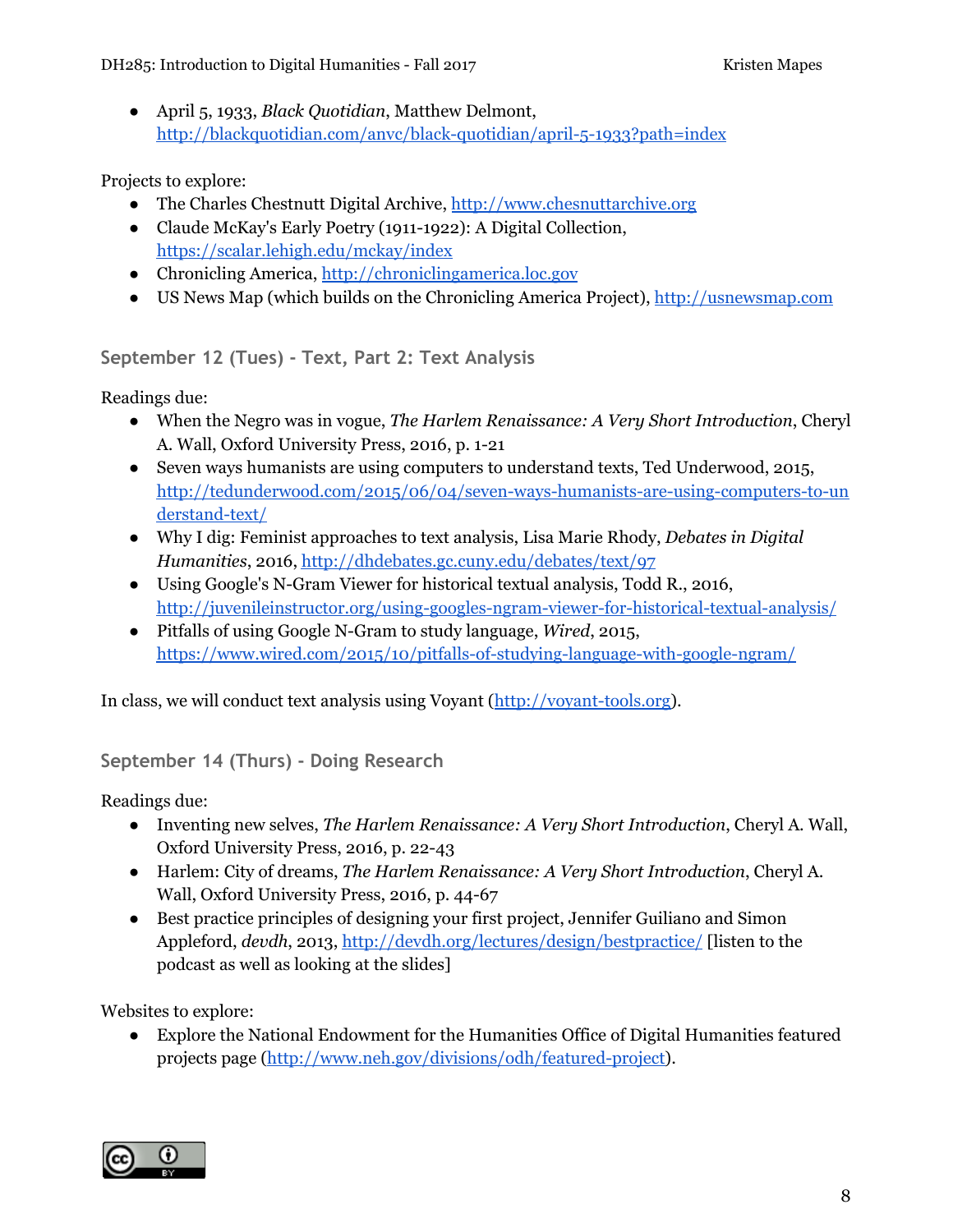● April 5, 1933, *Black Quotidian*, Matthew Delmont, <http://blackquotidian.com/anvc/black-quotidian/april-5-1933?path=index>

Projects to explore:

- The Charles Chestnutt Digital Archive, [http://www.chesnuttarchive.org](http://www.chesnuttarchive.org/)
- Claude McKay's Early Poetry (1911-1922): A Digital Collection, <https://scalar.lehigh.edu/mckay/index>
- Chronicling America, [http://chroniclingamerica.loc.gov](http://chroniclingamerica.loc.gov/)
- US News Map (which builds on the Chronicling America Project), [http://usnewsmap.com](http://usnewsmap.com/)

**September 12 (Tues) - Text, Part 2: Text Analysis**

Readings due:

- When the Negro was in vogue, *The Harlem Renaissance: A Very Short Introduction*, Cheryl A. Wall, Oxford University Press, 2016, p. 1-21
- Seven ways humanists are using computers to understand texts, Ted Underwood, 2015, [http://tedunderwood.com/2015/06/04/seven-ways-humanists-are-using-computers-to-un](http://tedunderwood.com/2015/06/04/seven-ways-humanists-are-using-computers-to-understand-text/) [derstand-text/](http://tedunderwood.com/2015/06/04/seven-ways-humanists-are-using-computers-to-understand-text/)
- Why I dig: Feminist approaches to text analysis, Lisa Marie Rhody, *Debates in Digital Humanities*, 2016, <http://dhdebates.gc.cuny.edu/debates/text/97>
- Using Google's N-Gram Viewer for historical textual analysis, Todd R., 2016, <http://juvenileinstructor.org/using-googles-ngram-viewer-for-historical-textual-analysis/>
- Pitfalls of using Google N-Gram to study language, *Wired*, 2015, <https://www.wired.com/2015/10/pitfalls-of-studying-language-with-google-ngram/>

In class, we will conduct text analysis using Voyant ([http://voyant-tools.org](http://voyant-tools.org/)).

### **September 14 (Thurs) - Doing Research**

Readings due:

- Inventing new selves, *The Harlem Renaissance: A Very Short Introduction*, Cheryl A. Wall, Oxford University Press, 2016, p. 22-43
- Harlem: City of dreams, *The Harlem Renaissance: A Very Short Introduction*, Cheryl A. Wall, Oxford University Press, 2016, p. 44-67
- Best practice principles of designing your first project, Jennifer Guiliano and Simon Appleford, *devdh*, 2013, <http://devdh.org/lectures/design/bestpractice/> [listen to the podcast as well as looking at the slides]

Websites to explore:

● Explore the National Endowment for the Humanities Office of Digital Humanities featured projects page ([http://www.neh.gov/divisions/odh/featured-project\)](http://www.neh.gov/divisions/odh/featured-project).

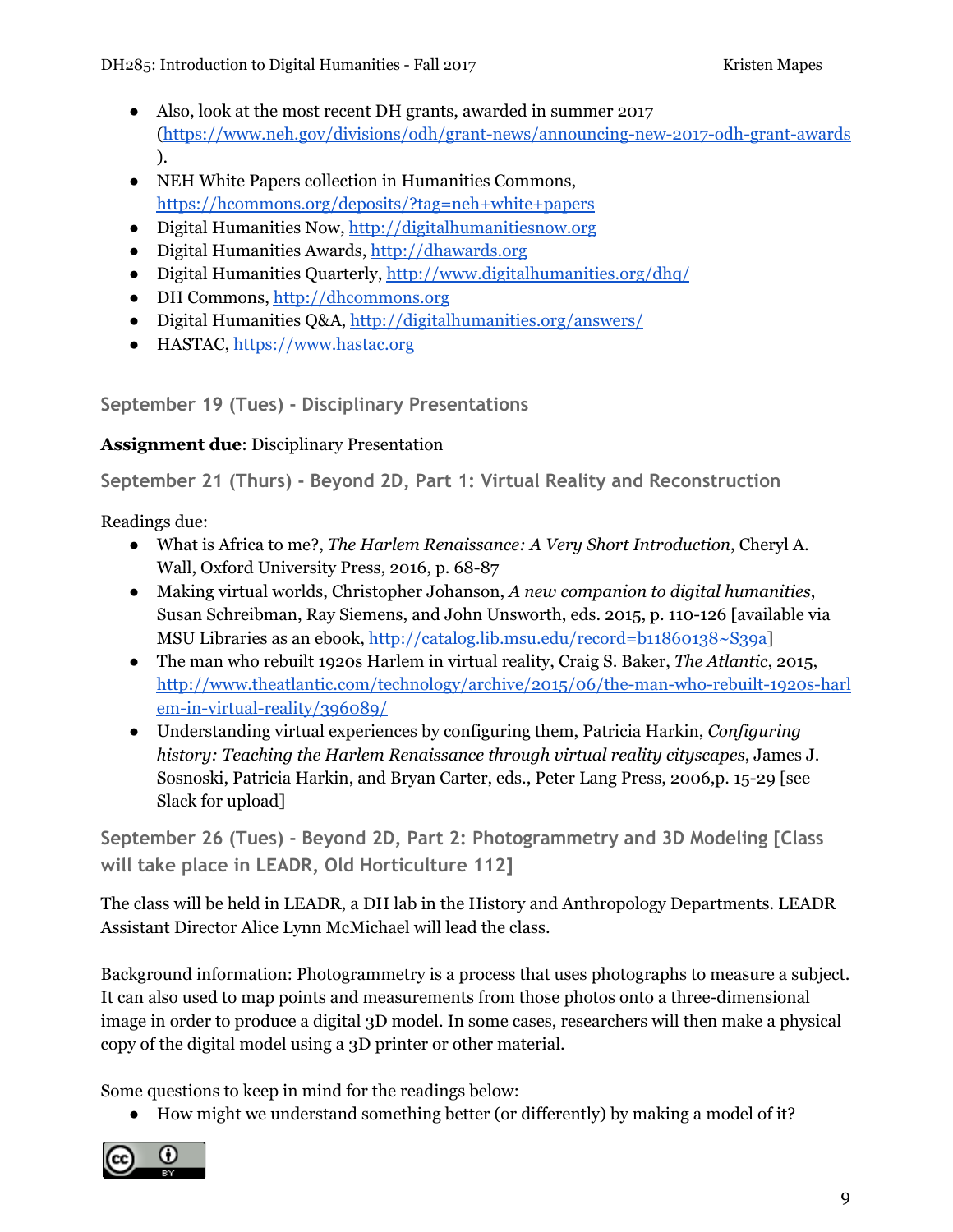DH285: Introduction to Digital Humanities - Fall 2017 The State of the Research Rapes

- Also, look at the most recent DH grants, awarded in summer 2017 (<https://www.neh.gov/divisions/odh/grant-news/announcing-new-2017-odh-grant-awards> ).
- NEH White Papers collection in Humanities Commons, <https://hcommons.org/deposits/?tag=neh+white+papers>
- Digital Humanities Now, [http://digitalhumanitiesnow.org](http://digitalhumanitiesnow.org/)
- Digital Humanities Awards, [http://dhawards.org](http://dhawards.org/)
- Digital Humanities Quarterly, <http://www.digitalhumanities.org/dhq/>
- DH Commons, [http://dhcommons.org](http://dhcommons.org/)
- Digital Humanities Q&A, <http://digitalhumanities.org/answers/>
- HASTAC, [https://www.hastac.org](https://www.hastac.org/)

**September 19 (Tues) - Disciplinary Presentations**

# **Assignment due**: Disciplinary Presentation

**September 21 (Thurs) - Beyond 2D, Part 1: Virtual Reality and Reconstruction**

Readings due:

- What is Africa to me?, *The Harlem Renaissance: A Very Short Introduction*, Cheryl A. Wall, Oxford University Press, 2016, p. 68-87
- Making virtual worlds, Christopher Johanson, *A new companion to digital humanities*, Susan Schreibman, Ray Siemens, and John Unsworth, eds. 2015, p. 110-126 [available via MSU Libraries as an ebook, <http://catalog.lib.msu.edu/record=b11860138~S39a>]
- The man who rebuilt 1920s Harlem in virtual reality, Craig S. Baker, *The Atlantic*, 2015, [http://www.theatlantic.com/technology/archive/2015/06/the-man-who-rebuilt-1920s-harl](http://www.theatlantic.com/technology/archive/2015/06/the-man-who-rebuilt-1920s-harlem-in-virtual-reality/396089/) [em-in-virtual-reality/396089/](http://www.theatlantic.com/technology/archive/2015/06/the-man-who-rebuilt-1920s-harlem-in-virtual-reality/396089/)
- Understanding virtual experiences by configuring them, Patricia Harkin, *Configuring history: Teaching the Harlem Renaissance through virtual reality cityscapes*, James J. Sosnoski, Patricia Harkin, and Bryan Carter, eds., Peter Lang Press, 2006,p. 15-29 [see Slack for upload]

**September 26 (Tues) - Beyond 2D, Part 2: Photogrammetry and 3D Modeling [Class will take place in LEADR, Old Horticulture 112]**

The class will be held in LEADR, a DH lab in the History and Anthropology Departments. LEADR Assistant Director Alice Lynn McMichael will lead the class.

Background information: Photogrammetry is a process that uses photographs to measure a subject. It can also used to map points and measurements from those photos onto a three-dimensional image in order to produce a digital 3D model. In some cases, researchers will then make a physical copy of the digital model using a 3D printer or other material.

Some questions to keep in mind for the readings below:

● How might we understand something better (or differently) by making a model of it?

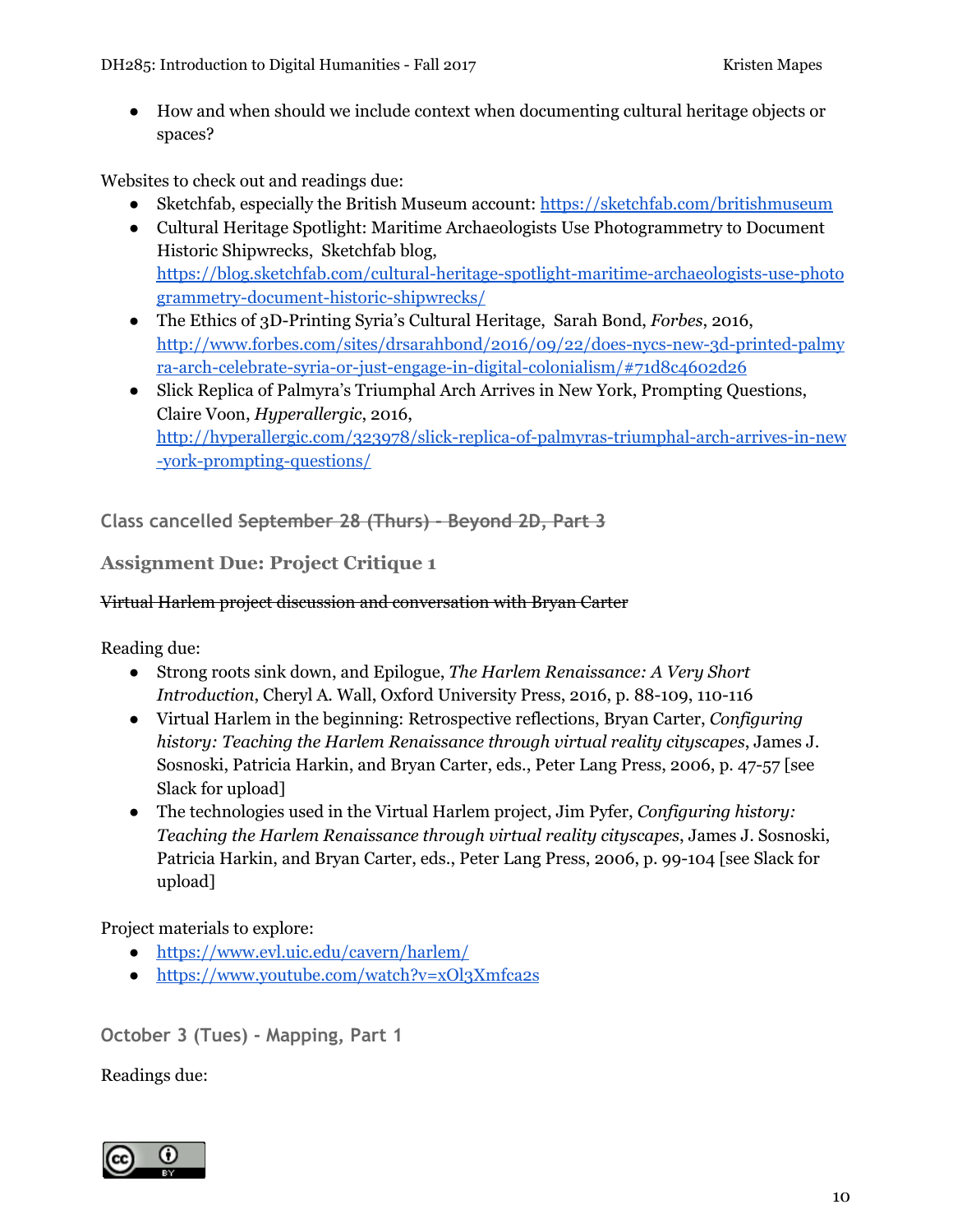DH285: Introduction to Digital Humanities - Fall 2017 The State of the Research Rapes

● How and when should we include context when documenting cultural heritage objects or spaces?

Websites to check out and readings due:

- Sketchfab, especially the British Museum account: <https://sketchfab.com/britishmuseum>
- Cultural Heritage Spotlight: Maritime Archaeologists Use Photogrammetry to Document Historic Shipwrecks, Sketchfab blog, [https://blog.sketchfab.com/cultural-heritage-spotlight-maritime-archaeologists-use-photo](https://blog.sketchfab.com/cultural-heritage-spotlight-maritime-archaeologists-use-photogrammetry-document-historic-shipwrecks/) [grammetry-document-historic-shipwrecks/](https://blog.sketchfab.com/cultural-heritage-spotlight-maritime-archaeologists-use-photogrammetry-document-historic-shipwrecks/)
- The Ethics of 3D-Printing Syria's Cultural Heritage, Sarah Bond, *Forbes*, 2016, [http://www.forbes.com/sites/drsarahbond/2016/09/22/does-nycs-new-3d-printed-palmy](http://www.forbes.com/sites/drsarahbond/2016/09/22/does-nycs-new-3d-printed-palmyra-arch-celebrate-syria-or-just-engage-in-digital-colonialism/#71d8c4602d26) [ra-arch-celebrate-syria-or-just-engage-in-digital-colonialism/#71d8c4602d26](http://www.forbes.com/sites/drsarahbond/2016/09/22/does-nycs-new-3d-printed-palmyra-arch-celebrate-syria-or-just-engage-in-digital-colonialism/#71d8c4602d26)
- Slick Replica of Palmyra's Triumphal Arch Arrives in New York, Prompting Questions, Claire Voon, *Hyperallergic*, 2016, [http://hyperallergic.com/323978/slick-replica-of-palmyras-triumphal-arch-arrives-in-new](http://hyperallergic.com/323978/slick-replica-of-palmyras-triumphal-arch-arrives-in-new-york-prompting-questions/) [-york-prompting-questions/](http://hyperallergic.com/323978/slick-replica-of-palmyras-triumphal-arch-arrives-in-new-york-prompting-questions/)

**Class cancelled September 28 (Thurs) - Beyond 2D, Part 3**

### **Assignment Due: Project Critique 1**

#### Virtual Harlem project discussion and conversation with Bryan Carter

Reading due:

- Strong roots sink down, and Epilogue, *The Harlem Renaissance: A Very Short Introduction*, Cheryl A. Wall, Oxford University Press, 2016, p. 88-109, 110-116
- Virtual Harlem in the beginning: Retrospective reflections, Bryan Carter, *Configuring history: Teaching the Harlem Renaissance through virtual reality cityscapes*, James J. Sosnoski, Patricia Harkin, and Bryan Carter, eds., Peter Lang Press, 2006, p. 47-57 [see Slack for upload]
- The technologies used in the Virtual Harlem project, Jim Pyfer, *Configuring history: Teaching the Harlem Renaissance through virtual reality cityscapes*, James J. Sosnoski, Patricia Harkin, and Bryan Carter, eds., Peter Lang Press, 2006, p. 99-104 [see Slack for upload]

Project materials to explore:

- <https://www.evl.uic.edu/cavern/harlem/>
- <https://www.youtube.com/watch?v=xOl3Xmfca2s>

**October 3 (Tues) - Mapping, Part 1**

Readings due:

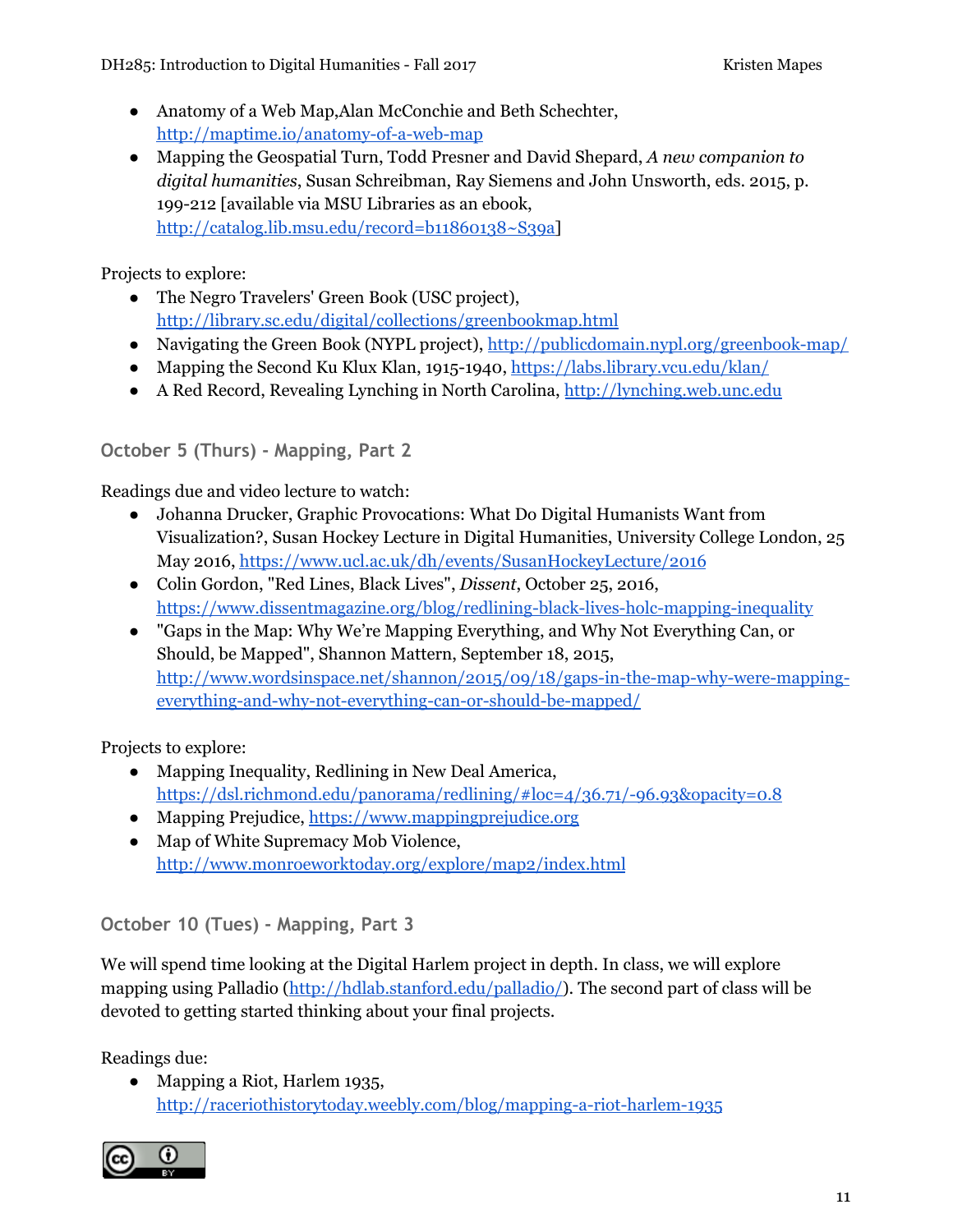- Anatomy of a Web Map,Alan McConchie and Beth Schechter, <http://maptime.io/anatomy-of-a-web-map>
- Mapping the Geospatial Turn, Todd Presner and David Shepard, *A new companion to digital humanities*, Susan Schreibman, Ray Siemens and John Unsworth, eds. 2015, p. 199-212 [available via MSU Libraries as an ebook, [http://catalog.lib.msu.edu/record=b11860138~S39a\]](http://catalog.lib.msu.edu/record=b11860138~S39a)

Projects to explore:

- The Negro Travelers' Green Book (USC project), <http://library.sc.edu/digital/collections/greenbookmap.html>
- Navigating the Green Book (NYPL project), <http://publicdomain.nypl.org/greenbook-map/>
- Mapping the Second Ku Klux Klan, 1915-1940, <https://labs.library.vcu.edu/klan/>
- A Red Record, Revealing Lynching in North Carolina, [http://lynching.web.unc.edu](http://lynching.web.unc.edu/)

### **October 5 (Thurs) - Mapping, Part 2**

Readings due and video lecture to watch:

- Johanna Drucker, Graphic Provocations: What Do Digital Humanists Want from Visualization?, Susan Hockey Lecture in Digital Humanities, University College London, 25 May 2016, <https://www.ucl.ac.uk/dh/events/SusanHockeyLecture/2016>
- Colin Gordon, "Red Lines, Black Lives", *Dissent*, October 25, 2016, <https://www.dissentmagazine.org/blog/redlining-black-lives-holc-mapping-inequality>
- "Gaps in the Map: Why We're Mapping Everything, and Why Not Everything Can, or Should, be Mapped", Shannon Mattern, September 18, 2015, [http://www.wordsinspace.net/shannon/2015/09/18/gaps-in-the-map-why-were-mapping](http://www.wordsinspace.net/shannon/2015/09/18/gaps-in-the-map-why-were-mapping-everything-and-why-not-everything-can-or-should-be-mapped/)[everything-and-why-not-everything-can-or-should-be-mapped/](http://www.wordsinspace.net/shannon/2015/09/18/gaps-in-the-map-why-were-mapping-everything-and-why-not-everything-can-or-should-be-mapped/)

Projects to explore:

- Mapping Inequality, Redlining in New Deal America, <https://dsl.richmond.edu/panorama/redlining/#loc=4/36.71/-96.93&opacity=0.8>
- Mapping Prejudice, [https://www.mappingprejudice.org](https://www.mappingprejudice.org/)
- Map of White Supremacy Mob Violence, <http://www.monroeworktoday.org/explore/map2/index.html>

**October 10 (Tues) - Mapping, Part 3**

We will spend time looking at the Digital Harlem project in depth. In class, we will explore mapping using Palladio ([http://hdlab.stanford.edu/palladio/\)](http://hdlab.stanford.edu/palladio/). The second part of class will be devoted to getting started thinking about your final projects.

Readings due:

• Mapping a Riot, Harlem 1935, <http://raceriothistorytoday.weebly.com/blog/mapping-a-riot-harlem-1935>

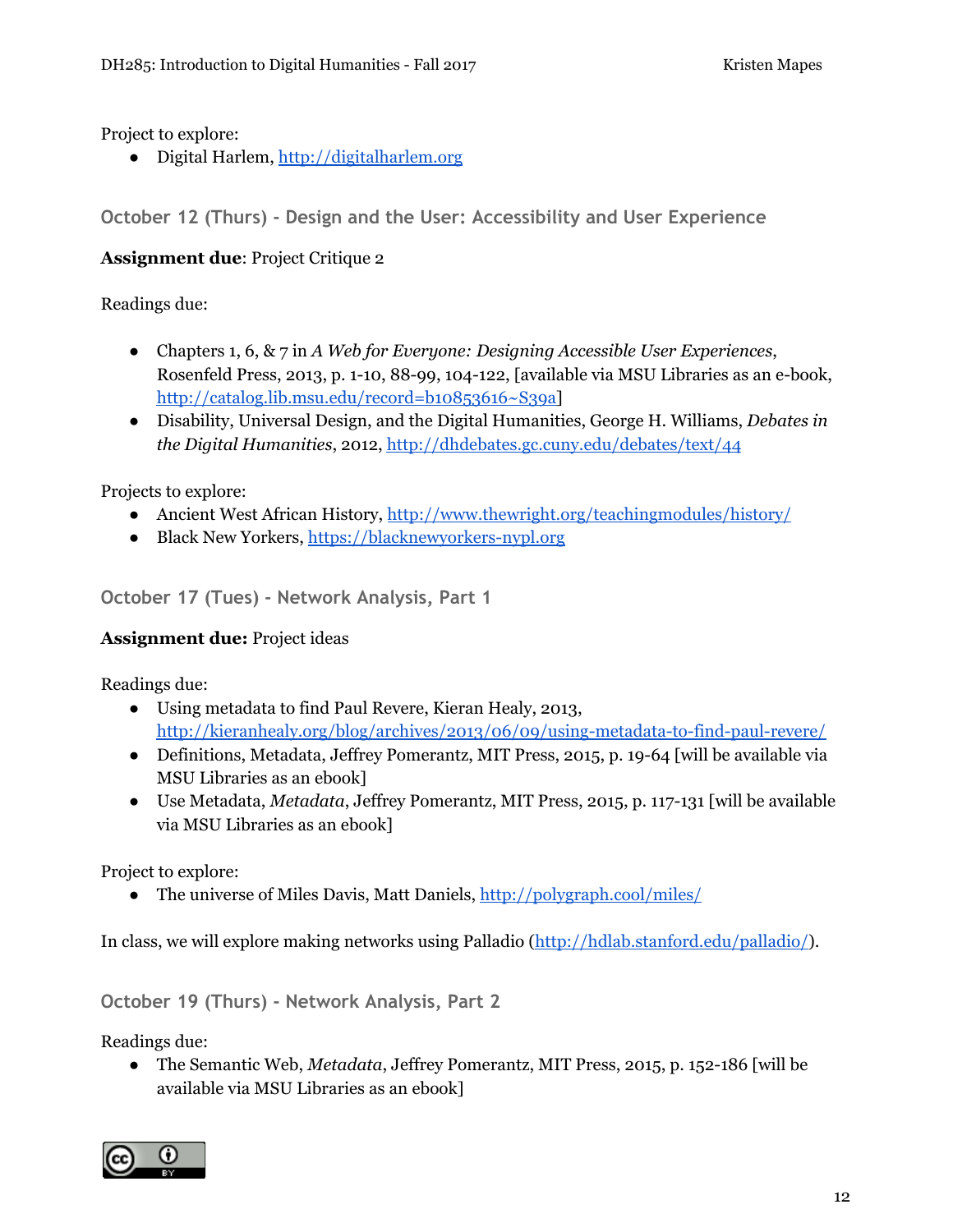Project to explore:

● Digital Harlem, [http://digitalharlem.org](http://digitalharlem.org/)

**October 12 (Thurs) - Design and the User: Accessibility and User Experience**

#### **Assignment due**: Project Critique 2

#### Readings due:

- Chapters 1, 6, & 7 in *A Web for Everyone: Designing Accessible User Experiences*, Rosenfeld Press, 2013, p. 1-10, 88-99, 104-122, [available via MSU Libraries as an e-book, [http://catalog.lib.msu.edu/record=b10853616~S39a\]](http://catalog.lib.msu.edu/record=b10853616~S39a)
- Disability, Universal Design, and the Digital Humanities, George H. Williams, *Debates in the Digital Humanities*, 2012, <http://dhdebates.gc.cuny.edu/debates/text/44>

Projects to explore:

- Ancient West African History, <http://www.thewright.org/teachingmodules/history/>
- Black New Yorkers, [https://blacknewyorkers-nypl.org](https://blacknewyorkers-nypl.org/)

**October 17 (Tues) - Network Analysis, Part 1**

#### **Assignment due:** Project ideas

Readings due:

- Using metadata to find Paul Revere, Kieran Healy, 2013, <http://kieranhealy.org/blog/archives/2013/06/09/using-metadata-to-find-paul-revere/>
- Definitions, Metadata, Jeffrey Pomerantz, MIT Press, 2015, p. 19-64 [will be available via MSU Libraries as an ebook]
- Use Metadata, *Metadata*, Jeffrey Pomerantz, MIT Press, 2015, p. 117-131 [will be available via MSU Libraries as an ebook]

Project to explore:

• The universe of Miles Davis, Matt Daniels, <http://polygraph.cool/miles/>

In class, we will explore making networks using Palladio ([http://hdlab.stanford.edu/palladio/\)](http://hdlab.stanford.edu/palladio/).

**October 19 (Thurs) - Network Analysis, Part 2**

Readings due:

● The Semantic Web, *Metadata*, Jeffrey Pomerantz, MIT Press, 2015, p. 152-186 [will be available via MSU Libraries as an ebook]

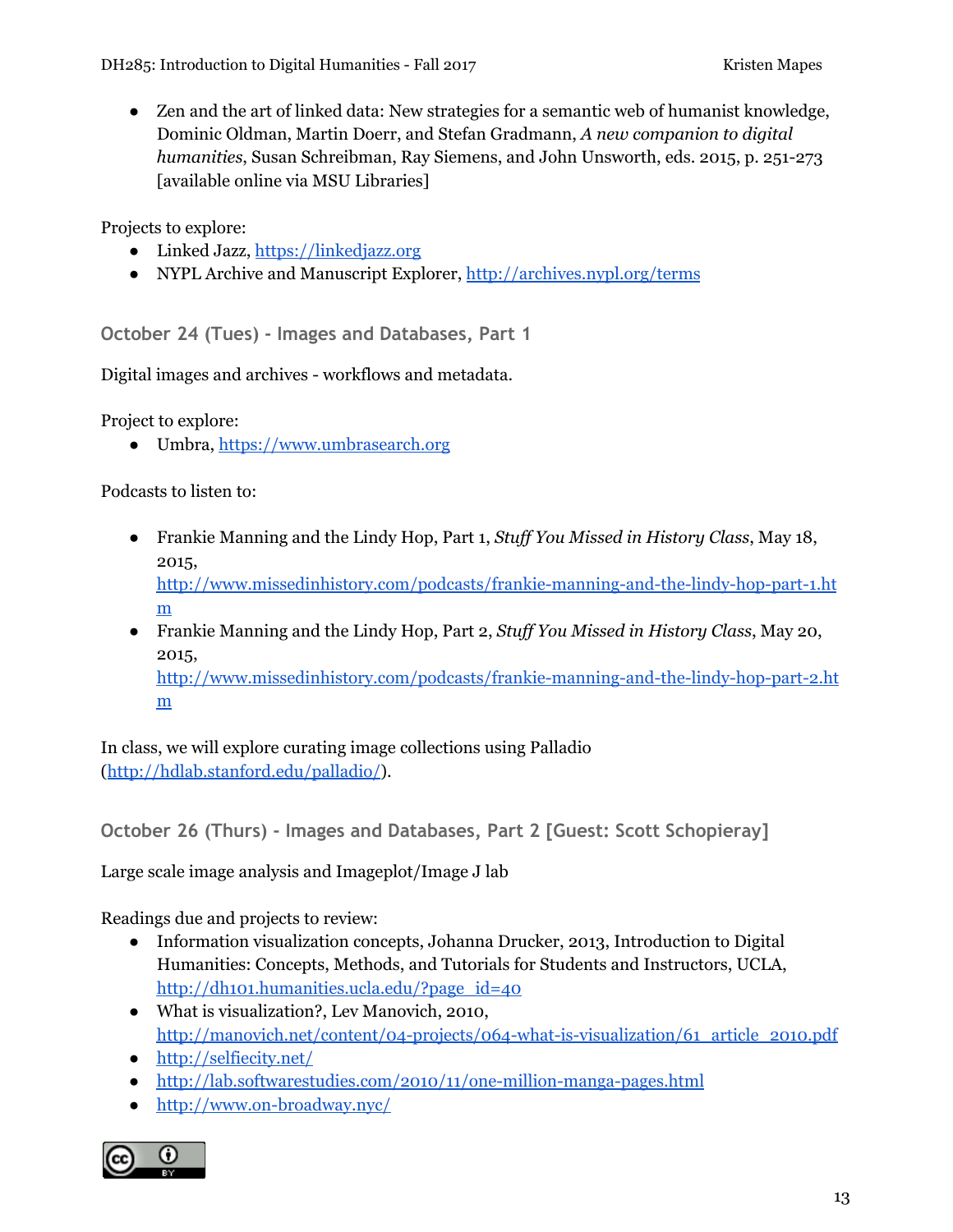DH285: Introduction to Digital Humanities - Fall 2017 The Contract Contract Research Rapper

● Zen and the art of linked data: New strategies for a semantic web of humanist knowledge, Dominic Oldman, Martin Doerr, and Stefan Gradmann, *A new companion to digital humanities*, Susan Schreibman, Ray Siemens, and John Unsworth, eds. 2015, p. 251-273 [available online via MSU Libraries]

Projects to explore:

- Linked Jazz, [https://linkedjazz.org](https://linkedjazz.org/)
- NYPL Archive and Manuscript Explorer, <http://archives.nypl.org/terms>

**October 24 (Tues) - Images and Databases, Part 1**

Digital images and archives - workflows and metadata.

Project to explore:

● Umbra, [https://www.umbrasearch.org](https://www.umbrasearch.org/)

Podcasts to listen to:

● Frankie Manning and the Lindy Hop, Part 1, *Stuf You Missed in History Class*, May 18, 2015,

[http://www.missedinhistory.com/podcasts/frankie-manning-and-the-lindy-hop-part-1.ht](http://www.missedinhistory.com/podcasts/frankie-manning-and-the-lindy-hop-part-1.htm) [m](http://www.missedinhistory.com/podcasts/frankie-manning-and-the-lindy-hop-part-1.htm)

● Frankie Manning and the Lindy Hop, Part 2, *Stuf You Missed in History Class*, May 20, 2015, [http://www.missedinhistory.com/podcasts/frankie-manning-and-the-lindy-hop-part-2.ht](http://www.missedinhistory.com/podcasts/frankie-manning-and-the-lindy-hop-part-2.htm) [m](http://www.missedinhistory.com/podcasts/frankie-manning-and-the-lindy-hop-part-2.htm)

In class, we will explore curating image collections using Palladio (<http://hdlab.stanford.edu/palladio/>).

**October 26 (Thurs) - Images and Databases, Part 2 [Guest: Scott Schopieray]**

Large scale image analysis and Imageplot/Image J lab

Readings due and projects to review:

- Information visualization concepts, Johanna Drucker, 2013, Introduction to Digital Humanities: Concepts, Methods, and Tutorials for Students and Instructors, UCLA, [http://dh101.humanities.ucla.edu/?page\\_id=40](http://dh101.humanities.ucla.edu/?page_id=40)
- What is visualization?, Lev Manovich, 2010, [http://manovich.net/content/04-projects/064-what-is-visualization/61\\_article\\_2010.pdf](http://manovich.net/content/04-projects/064-what-is-visualization/61_article_2010.pdf)
- <http://selfiecity.net/>
- <http://lab.softwarestudies.com/2010/11/one-million-manga-pages.html>
- <http://www.on-broadway.nyc/>

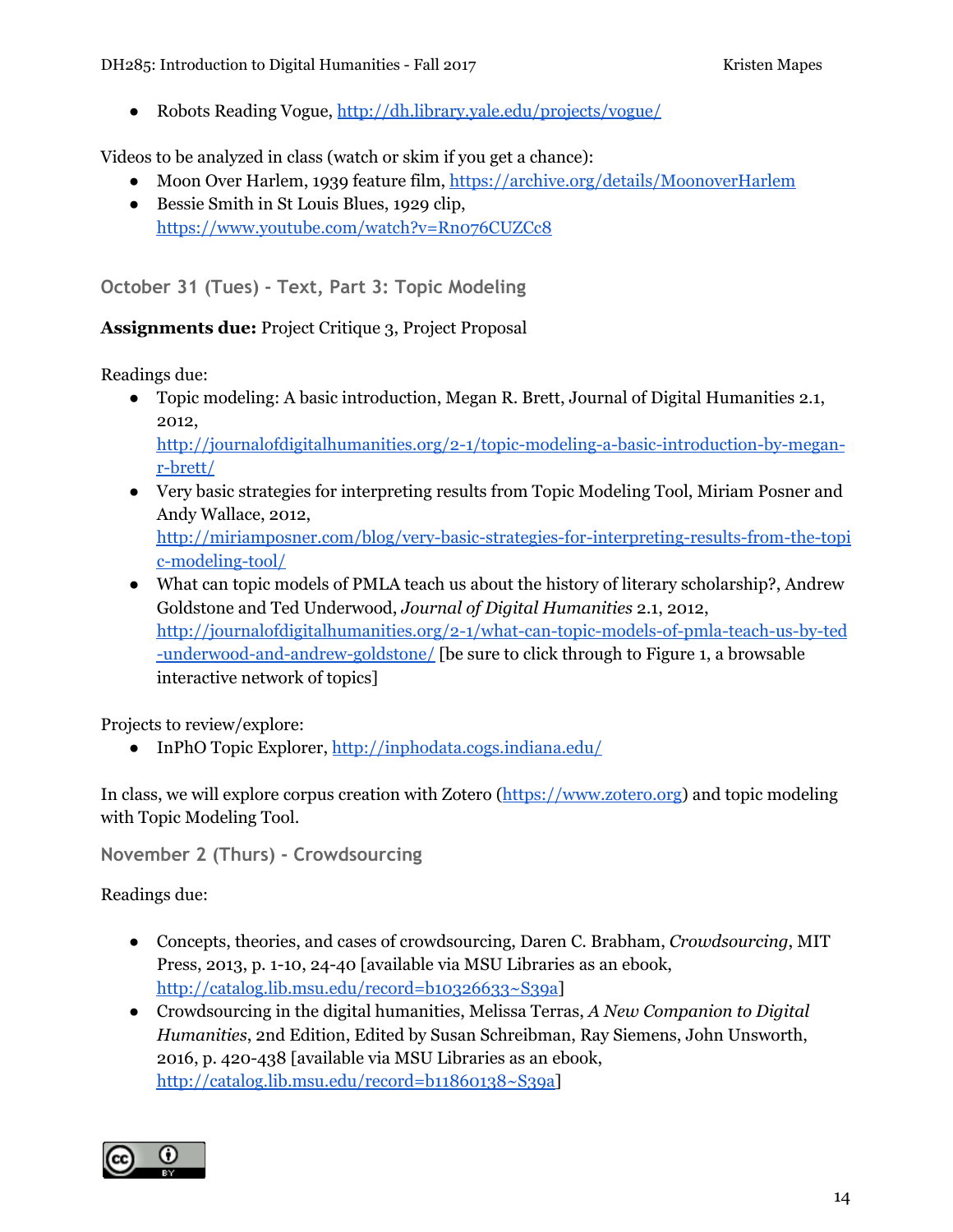● Robots Reading Vogue, <http://dh.library.yale.edu/projects/vogue/>

Videos to be analyzed in class (watch or skim if you get a chance):

- Moon Over Harlem, 1939 feature film, <https://archive.org/details/MoonoverHarlem>
- Bessie Smith in St Louis Blues, 1929 clip, <https://www.youtube.com/watch?v=Rn076CUZCc8>

**October 31 (Tues) - Text, Part 3: Topic Modeling**

#### **Assignments due:** Project Critique 3, Project Proposal

Readings due:

● Topic modeling: A basic introduction, Megan R. Brett, Journal of Digital Humanities 2.1, 2012,

[http://journalofdigitalhumanities.org/2-1/topic-modeling-a-basic-introduction-by-megan](http://journalofdigitalhumanities.org/2-1/topic-modeling-a-basic-introduction-by-megan-r-brett/)[r-brett/](http://journalofdigitalhumanities.org/2-1/topic-modeling-a-basic-introduction-by-megan-r-brett/)

- Very basic strategies for interpreting results from Topic Modeling Tool, Miriam Posner and Andy Wallace, 2012, [http://miriamposner.com/blog/very-basic-strategies-for-interpreting-results-from-the-topi](http://miriamposner.com/blog/very-basic-strategies-for-interpreting-results-from-the-topic-modeling-tool/) [c-modeling-tool/](http://miriamposner.com/blog/very-basic-strategies-for-interpreting-results-from-the-topic-modeling-tool/)
- What can topic models of PMLA teach us about the history of literary scholarship?, Andrew Goldstone and Ted Underwood, *Journal of Digital Humanities* 2.1, 2012, [http://journalofdigitalhumanities.org/2-1/what-can-topic-models-of-pmla-teach-us-by-ted](http://journalofdigitalhumanities.org/2-1/what-can-topic-models-of-pmla-teach-us-by-ted-underwood-and-andrew-goldstone/) [-underwood-and-andrew-goldstone/](http://journalofdigitalhumanities.org/2-1/what-can-topic-models-of-pmla-teach-us-by-ted-underwood-and-andrew-goldstone/) [be sure to click through to Figure 1, a browsable interactive network of topics]

Projects to review/explore:

● InPhO Topic Explorer, <http://inphodata.cogs.indiana.edu/>

In class, we will explore corpus creation with Zotero ([https://www.zotero.org](https://www.zotero.org/)) and topic modeling with Topic Modeling Tool.

**November 2 (Thurs) - Crowdsourcing**

Readings due:

- Concepts, theories, and cases of crowdsourcing, Daren C. Brabham, *Crowdsourcing*, MIT Press, 2013, p. 1-10, 24-40 [available via MSU Libraries as an ebook, <http://catalog.lib.msu.edu/record=b10326633~S39a>]
- Crowdsourcing in the digital humanities, Melissa Terras, *A New Companion to Digital Humanities*, 2nd Edition, Edited by Susan Schreibman, Ray Siemens, John Unsworth, 2016, p. 420-438 [available via MSU Libraries as an ebook, [http://catalog.lib.msu.edu/record=b11860138~S39a\]](http://catalog.lib.msu.edu/record=b11860138~S39a)

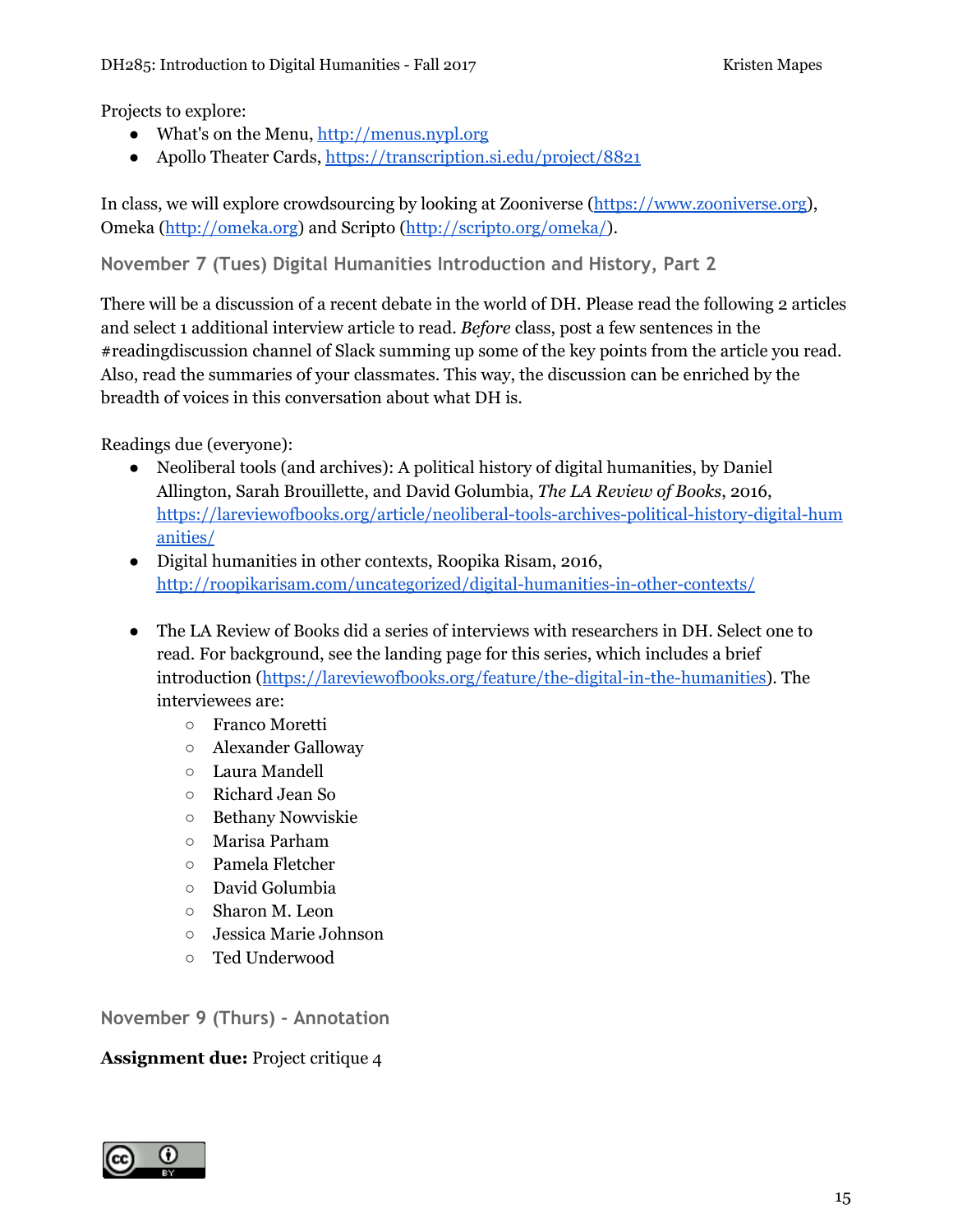Projects to explore:

- What's on the Menu, [http://menus.nypl.org](http://menus.nypl.org/)
- Apollo Theater Cards, <https://transcription.si.edu/project/8821>

In class, we will explore crowdsourcing by looking at Zooniverse ([https://www.zooniverse.org](https://www.zooniverse.org/)), Omeka [\(http://omeka.org](http://omeka.org/)) and Scripto (<http://scripto.org/omeka/>).

**November 7 (Tues) Digital Humanities Introduction and History, Part 2**

There will be a discussion of a recent debate in the world of DH. Please read the following 2 articles and select 1 additional interview article to read. *Before* class, post a few sentences in the #readingdiscussion channel of Slack summing up some of the key points from the article you read. Also, read the summaries of your classmates. This way, the discussion can be enriched by the breadth of voices in this conversation about what DH is.

Readings due (everyone):

- Neoliberal tools (and archives): A political history of digital humanities, by Daniel Allington, Sarah Brouillette, and David Golumbia, *The LA Review of Books*, 2016, [https://lareviewofbooks.org/article/neoliberal-tools-archives-political-history-digital-hum](https://lareviewofbooks.org/article/neoliberal-tools-archives-political-history-digital-humanities/) [anities/](https://lareviewofbooks.org/article/neoliberal-tools-archives-political-history-digital-humanities/)
- Digital humanities in other contexts, Roopika Risam, 2016, <http://roopikarisam.com/uncategorized/digital-humanities-in-other-contexts/>
- The LA Review of Books did a series of interviews with researchers in DH. Select one to read. For background, see the landing page for this series, which includes a brief introduction ([https://lareviewofbooks.org/feature/the-digital-in-the-humanities\)](https://lareviewofbooks.org/feature/the-digital-in-the-humanities). The interviewees are:
	- Franco Moretti
	- Alexander Galloway
	- Laura Mandell
	- Richard Jean So
	- Bethany Nowviskie
	- Marisa Parham
	- Pamela Fletcher
	- David Golumbia
	- Sharon M. Leon
	- Jessica Marie Johnson
	- Ted Underwood

**November 9 (Thurs) - Annotation**

#### **Assignment due:** Project critique 4

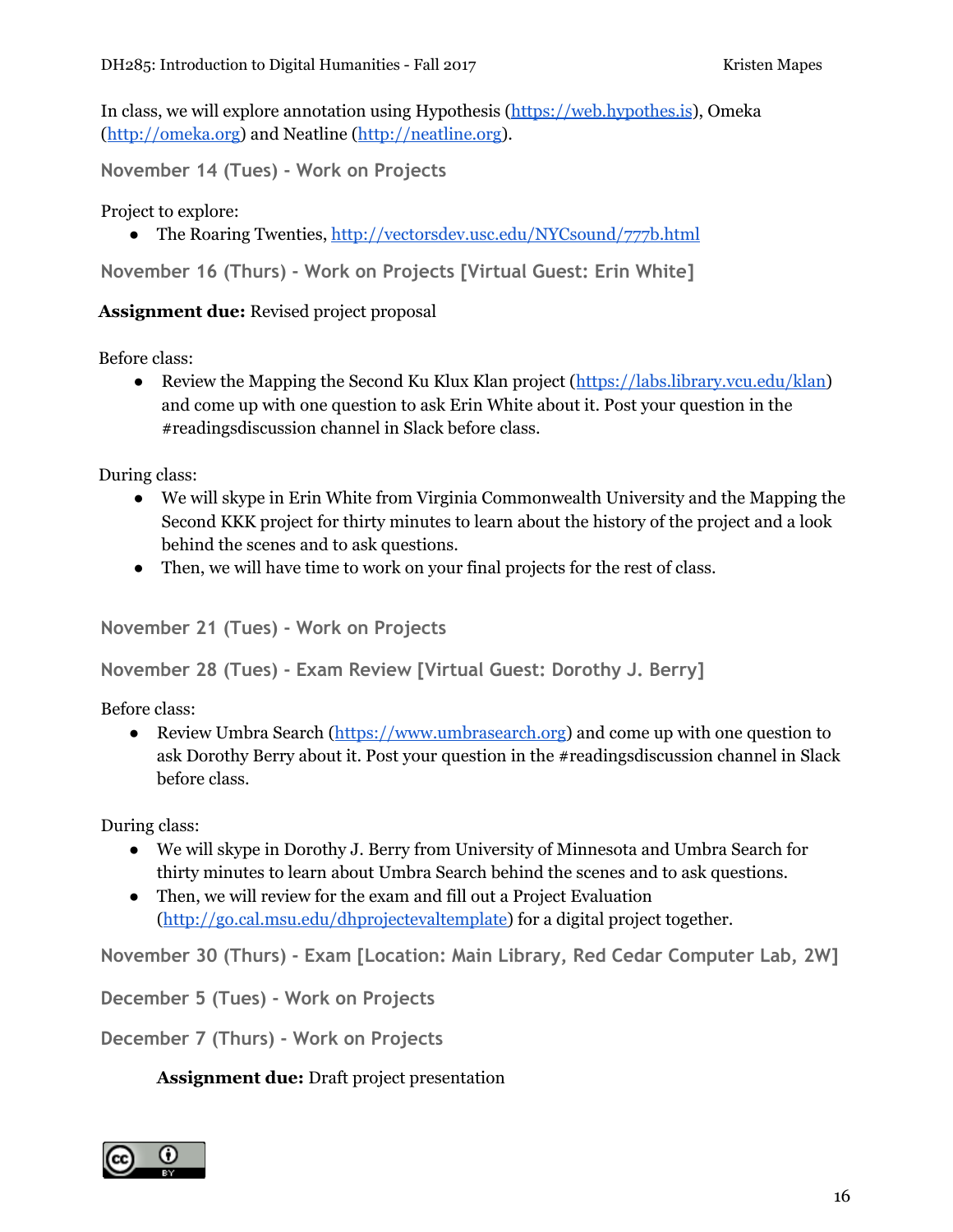In class, we will explore annotation using Hypothesis [\(https://web.hypothes.is](https://web.hypothes.is/)), Omeka ([http://omeka.org](http://omeka.org/)) and Neatline [\(http://neatline.org](http://neatline.org/)).

**November 14 (Tues) - Work on Projects**

Project to explore:

● The Roaring Twenties, <http://vectorsdev.usc.edu/NYCsound/777b.html>

**November 16 (Thurs) - Work on Projects [Virtual Guest: Erin White]**

#### **Assignment due:** Revised project proposal

Before class:

• Review the Mapping the Second Ku Klux Klan project [\(https://labs.library.vcu.edu/klan\)](https://labs.library.vcu.edu/klan) and come up with one question to ask Erin White about it. Post your question in the #readingsdiscussion channel in Slack before class.

During class:

- We will skype in Erin White from Virginia Commonwealth University and the Mapping the Second KKK project for thirty minutes to learn about the history of the project and a look behind the scenes and to ask questions.
- Then, we will have time to work on your final projects for the rest of class.

```
November 21 (Tues) - Work on Projects
```
**November 28 (Tues) - Exam Review [Virtual Guest: Dorothy J. Berry]**

Before class:

• Review Umbra Search [\(https://www.umbrasearch.org\)](https://www.umbrasearch.org/) and come up with one question to ask Dorothy Berry about it. Post your question in the #readingsdiscussion channel in Slack before class.

During class:

- We will skype in Dorothy J. Berry from University of Minnesota and Umbra Search for thirty minutes to learn about Umbra Search behind the scenes and to ask questions.
- Then, we will review for the exam and fill out a Project Evaluation ([http://go.cal.msu.edu/dhprojectevaltemplate\)](http://go.cal.msu.edu/dhprojectevaltemplate) for a digital project together.

**November 30 (Thurs) - Exam [Location: Main Library, Red Cedar Computer Lab, 2W]**

**December 5 (Tues) - Work on Projects**

**December 7 (Thurs) - Work on Projects**

**Assignment due:** Draft project presentation

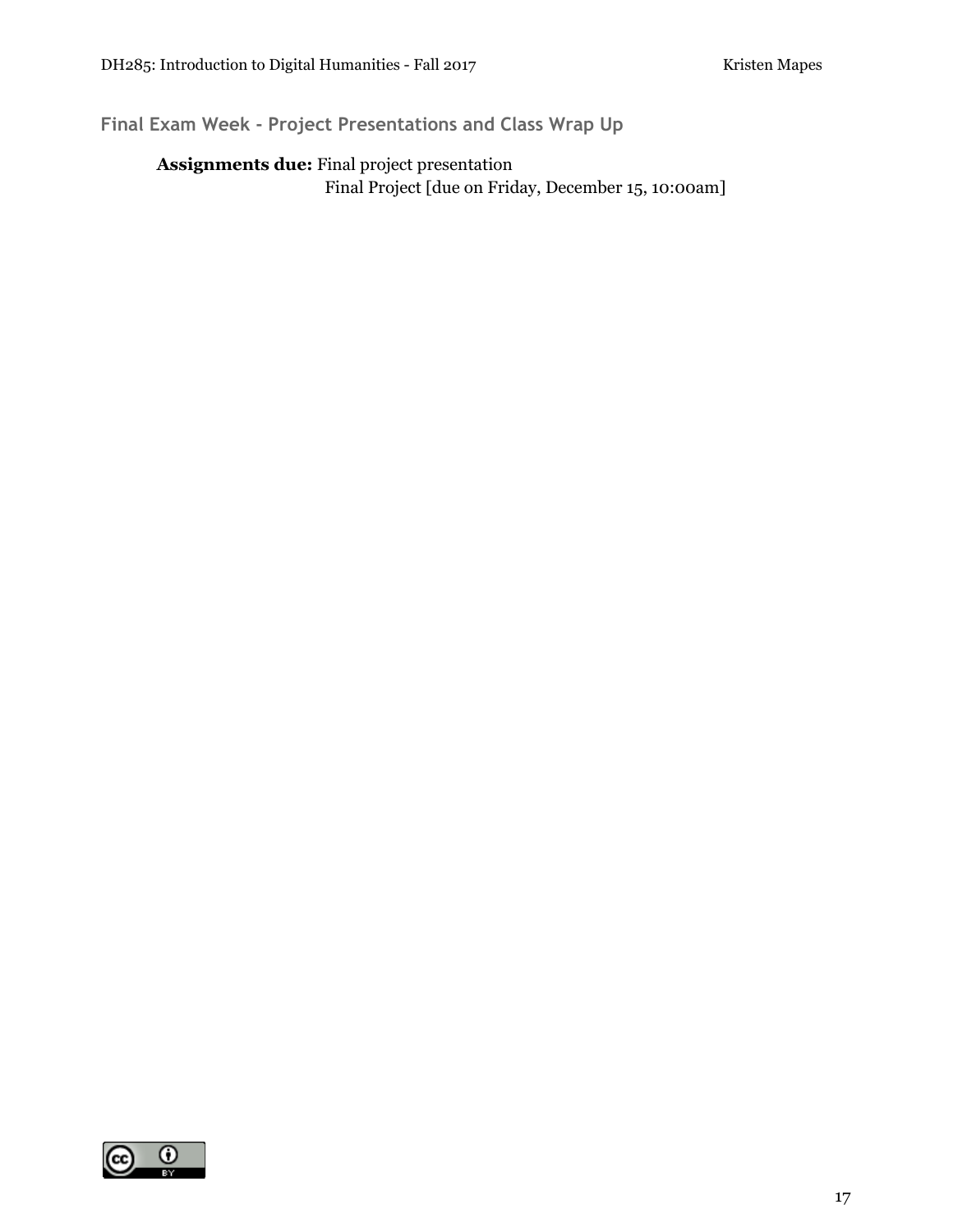# **Final Exam Week - Project Presentations and Class Wrap Up**

### **Assignments due:** Final project presentation Final Project [due on Friday, December 15, 10:00am]